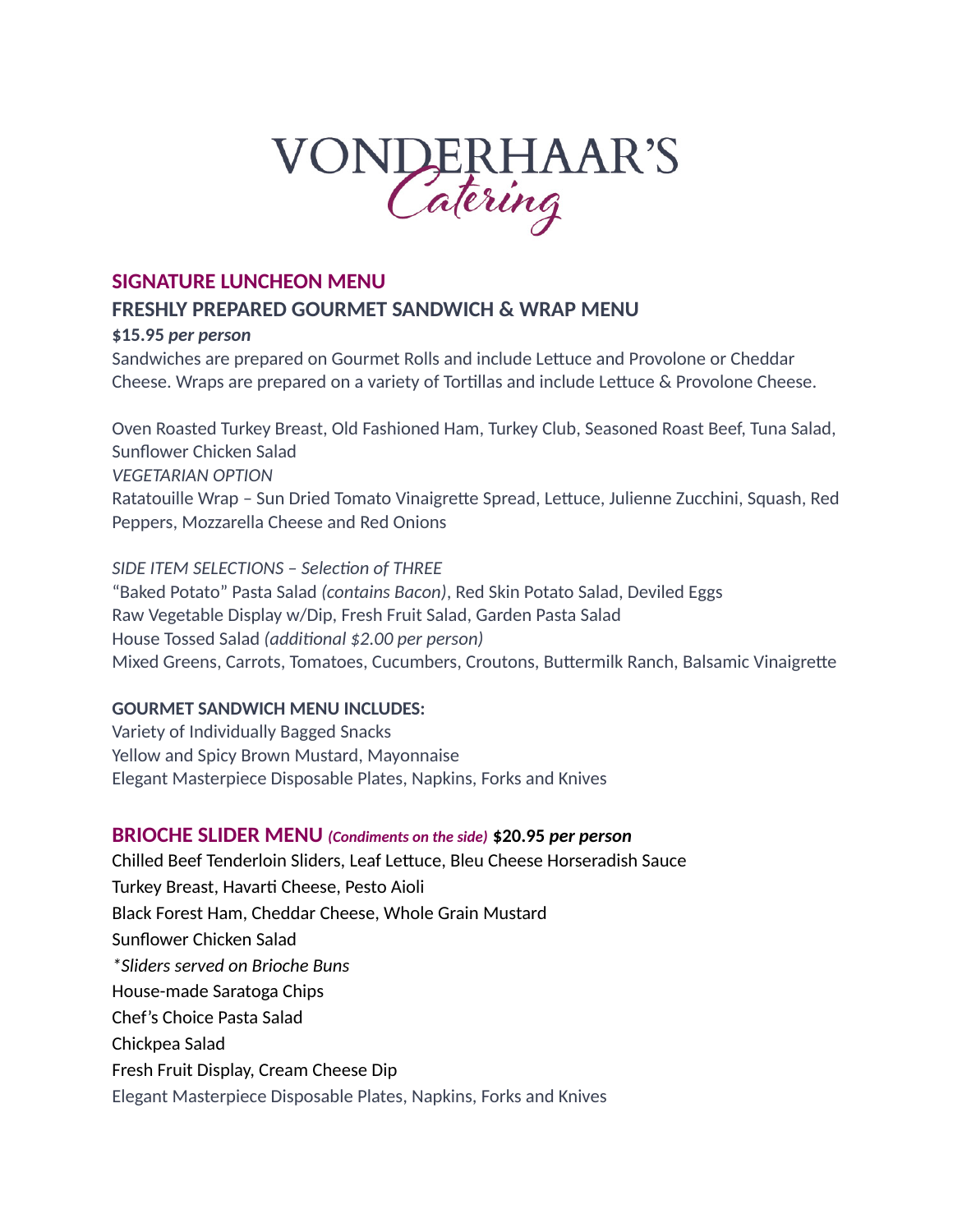# VONDERHAAR'S

## **SIGNATURE LUNCHEON MENU FRESHLY PREPARED GOURMET SANDWICH & WRAP MENU**

#### **\$15.95** *per person*

Sandwiches are prepared on Gourmet Rolls and include Lettuce and Provolone or Cheddar Cheese. Wraps are prepared on a variety of Tortillas and include Lettuce & Provolone Cheese.

Oven Roasted Turkey Breast, Old Fashioned Ham, Turkey Club, Seasoned Roast Beef, Tuna Salad, Sunflower Chicken Salad *VEGETARIAN OPTION* Ratatouille Wrap – Sun Dried Tomato Vinaigrette Spread, Lettuce, Julienne Zucchini, Squash, Red Peppers, Mozzarella Cheese and Red Onions

*SIDE ITEM SELECTIONS – Selection of THREE* "Baked Potato" Pasta Salad *(contains Bacon)*, Red Skin Potato Salad, Deviled Eggs Raw Vegetable Display w/Dip, Fresh Fruit Salad, Garden Pasta Salad House Tossed Salad *(additional \$2.00 per person)* Mixed Greens, Carrots, Tomatoes, Cucumbers, Croutons, Buttermilk Ranch, Balsamic Vinaigrette

#### **GOURMET SANDWICH MENU INCLUDES:**

Variety of Individually Bagged Snacks Yellow and Spicy Brown Mustard, Mayonnaise Elegant Masterpiece Disposable Plates, Napkins, Forks and Knives

## **BRIOCHE SLIDER MENU** *(Condiments on the side)* **\$20.95** *per person*

Chilled Beef Tenderloin Sliders, Leaf Lettuce, Bleu Cheese Horseradish Sauce Turkey Breast, Havarti Cheese, Pesto Aioli Black Forest Ham, Cheddar Cheese, Whole Grain Mustard Sunflower Chicken Salad *\*Sliders served on Brioche Buns* House-made Saratoga Chips Chef's Choice Pasta Salad Chickpea Salad Fresh Fruit Display, Cream Cheese Dip Elegant Masterpiece Disposable Plates, Napkins, Forks and Knives